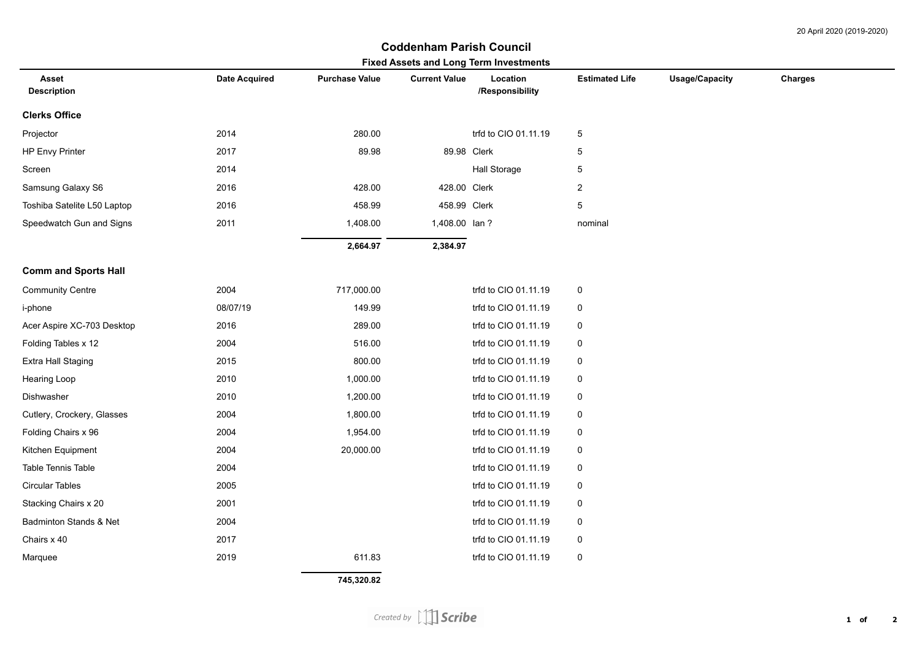## **Coddenham Parish Council**

|          | <b>Purchase Value</b> | <b>Current Value</b> | Location             | <b>Estimated Life</b>                                                                                          | Charges               |
|----------|-----------------------|----------------------|----------------------|----------------------------------------------------------------------------------------------------------------|-----------------------|
|          |                       |                      | /Responsibility      |                                                                                                                |                       |
|          |                       |                      |                      |                                                                                                                |                       |
| 2014     | 280.00                |                      | trfd to CIO 01.11.19 | $\,$ 5 $\,$                                                                                                    |                       |
| 2017     | 89.98                 |                      |                      | 5                                                                                                              |                       |
| 2014     |                       |                      | <b>Hall Storage</b>  | 5                                                                                                              |                       |
| 2016     | 428.00                |                      |                      | $\boldsymbol{2}$                                                                                               |                       |
| 2016     | 458.99                |                      |                      | 5                                                                                                              |                       |
| 2011     | 1,408.00              |                      |                      | nominal                                                                                                        |                       |
|          | 2,664.97              | 2,384.97             |                      |                                                                                                                |                       |
|          |                       |                      |                      |                                                                                                                |                       |
| 2004     | 717,000.00            |                      | trfd to CIO 01.11.19 | 0                                                                                                              |                       |
| 08/07/19 | 149.99                |                      | trfd to CIO 01.11.19 | 0                                                                                                              |                       |
| 2016     | 289.00                |                      | trfd to CIO 01.11.19 | 0                                                                                                              |                       |
| 2004     | 516.00                |                      | trfd to CIO 01.11.19 | 0                                                                                                              |                       |
| 2015     | 800.00                |                      | trfd to CIO 01.11.19 | $\boldsymbol{0}$                                                                                               |                       |
| 2010     | 1,000.00              |                      | trfd to CIO 01.11.19 | $\pmb{0}$                                                                                                      |                       |
| 2010     | 1,200.00              |                      | trfd to CIO 01.11.19 | 0                                                                                                              |                       |
| 2004     | 1,800.00              |                      | trfd to CIO 01.11.19 | $\pmb{0}$                                                                                                      |                       |
| 2004     | 1,954.00              |                      | trfd to CIO 01.11.19 | 0                                                                                                              |                       |
| 2004     | 20,000.00             |                      | trfd to CIO 01.11.19 | $\pmb{0}$                                                                                                      |                       |
| 2004     |                       |                      | trfd to CIO 01.11.19 | 0                                                                                                              |                       |
| 2005     |                       |                      | trfd to CIO 01.11.19 | $\boldsymbol{0}$                                                                                               |                       |
| 2001     |                       |                      | trfd to CIO 01.11.19 | $\pmb{0}$                                                                                                      |                       |
| 2004     |                       |                      | trfd to CIO 01.11.19 | 0                                                                                                              |                       |
| 2017     |                       |                      | trfd to CIO 01.11.19 | $\pmb{0}$                                                                                                      |                       |
| 2019     | 611.83                |                      | trfd to CIO 01.11.19 | $\pmb{0}$                                                                                                      |                       |
|          | <b>Date Acquired</b>  |                      |                      | <b>I IXED ASSED AND LONG TEMP INVESTMENTS</b><br>89.98 Clerk<br>428.00 Clerk<br>458.99 Clerk<br>1,408.00 lan ? | <b>Usage/Capacity</b> |

 **745,320.82**